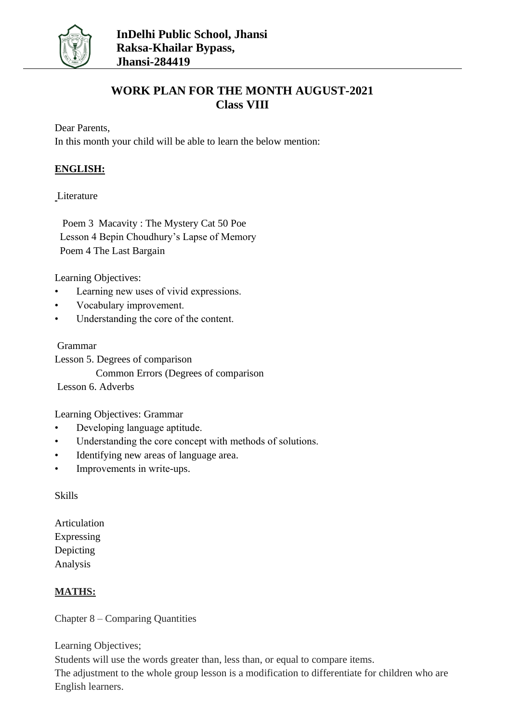

# **WORK PLAN FOR THE MONTH AUGUST-2021 Class VIII**

Dear Parents,

In this month your child will be able to learn the below mention:

# **ENGLISH:**

#### **Literature**

 Poem 3 Macavity : The Mystery Cat 50 Poe Lesson 4 Bepin Choudhury's Lapse of Memory Poem 4 The Last Bargain

Learning Objectives:

- Learning new uses of vivid expressions.
- Vocabulary improvement.
- Understanding the core of the content.

#### Grammar

Lesson 5. Degrees of comparison Common Errors (Degrees of comparison Lesson 6. Adverbs

Learning Objectives: Grammar

- Developing language aptitude.
- Understanding the core concept with methods of solutions.
- Identifying new areas of language area.
- Improvements in write-ups.

Skills

Articulation Expressing Depicting Analysis

#### **MATHS:**

Chapter 8 – Comparing Quantities

Learning Objectives;

Students will use the words greater than, less than, or equal to compare items.

The adjustment to the whole group lesson is a modification to differentiate for children who are English learners.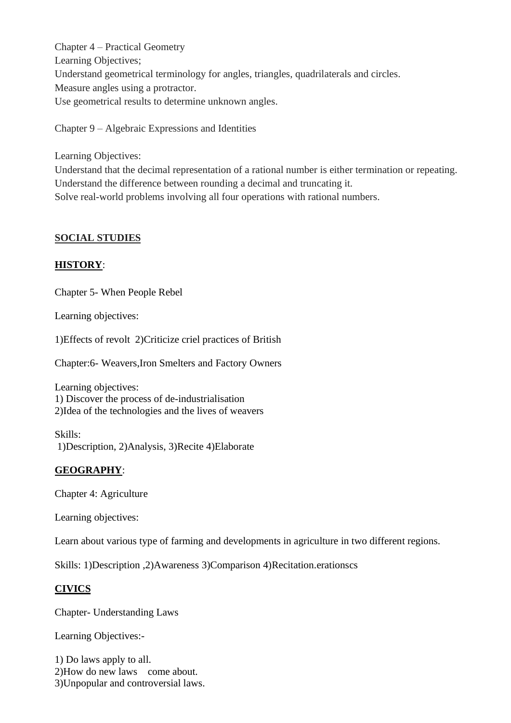Chapter 4 – Practical Geometry Learning Objectives; Understand geometrical terminology for angles, triangles, quadrilaterals and circles. Measure angles using a protractor. Use geometrical results to determine unknown angles.

Chapter 9 – Algebraic Expressions and Identities

Learning Objectives:

Understand that the decimal representation of a rational number is either termination or repeating. Understand the difference between rounding a decimal and truncating it. Solve real-world problems involving all four operations with rational numbers.

# **SOCIAL STUDIES**

# **HISTORY**:

Chapter 5- When People Rebel

Learning objectives:

1)Effects of revolt 2)Criticize criel practices of British

Chapter:6- Weavers,Iron Smelters and Factory Owners

Learning objectives: 1) Discover the process of de-industrialisation 2)Idea of the technologies and the lives of weavers

Skills: 1)Description, 2)Analysis, 3)Recite 4)Elaborate

# **GEOGRAPHY**:

Chapter 4: Agriculture

Learning objectives:

Learn about various type of farming and developments in agriculture in two different regions.

Skills: 1)Description ,2)Awareness 3)Comparison 4)Recitation.erationscs

#### **CIVICS**

Chapter- Understanding Laws

Learning Objectives:-

1) Do laws apply to all. 2)How do new laws come about. 3)Unpopular and controversial laws.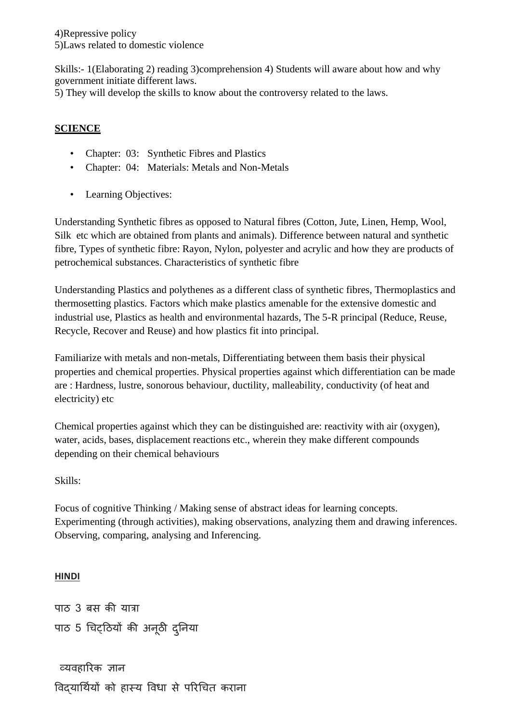4)Repressive policy 5)Laws related to domestic violence

Skills:- 1(Elaborating 2) reading 3)comprehension 4) Students will aware about how and why government initiate different laws.

5) They will develop the skills to know about the controversy related to the laws.

# **SCIENCE**

- Chapter: 03: Synthetic Fibres and Plastics
- Chapter: 04: Materials: Metals and Non-Metals
- Learning Objectives:

Understanding Synthetic fibres as opposed to Natural fibres (Cotton, Jute, Linen, Hemp, Wool, Silk etc which are obtained from plants and animals). Difference between natural and synthetic fibre, Types of synthetic fibre: Rayon, Nylon, polyester and acrylic and how they are products of petrochemical substances. Characteristics of synthetic fibre

Understanding Plastics and polythenes as a different class of synthetic fibres, Thermoplastics and thermosetting plastics. Factors which make plastics amenable for the extensive domestic and industrial use, Plastics as health and environmental hazards, The 5-R principal (Reduce, Reuse, Recycle, Recover and Reuse) and how plastics fit into principal.

Familiarize with metals and non-metals, Differentiating between them basis their physical properties and chemical properties. Physical properties against which differentiation can be made are : Hardness, lustre, sonorous behaviour, ductility, malleability, conductivity (of heat and electricity) etc

Chemical properties against which they can be distinguished are: reactivity with air (oxygen), water, acids, bases, displacement reactions etc., wherein they make different compounds depending on their chemical behaviours

Skills:

Focus of cognitive Thinking / Making sense of abstract ideas for learning concepts. Experimenting (through activities), making observations, analyzing them and drawing inferences. Observing, comparing, analysing and Inferencing.

# **HINDI**

```
पाठ 3 बस की यात्रा
पाठ 5 चिट्ठठयों की अनूठी दनुनया
```
व्यवहारिक ज्ञान ववद्याचथियों को हास्य ववधा से परिचित किाना